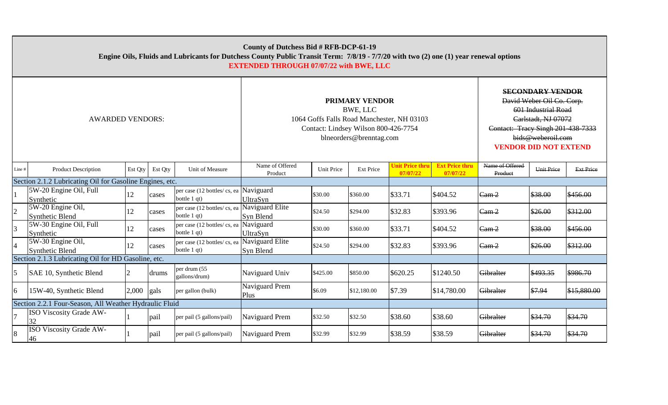| County of Dutchess Bid # RFB-DCP-61-19<br>Engine Oils, Fluids and Lubricants for Dutchess County Public Transit Term: 7/8/19 - 7/7/20 with two (2) one (1) year renewal options<br><b>EXTENDED THROUGH 07/07/22 with BWE, LLC</b> |                                                     |         |         |                                                              |                                                                                    |                                                                                                                                                                                              |                  |                                           |                                   |                            |            |                  |
|-----------------------------------------------------------------------------------------------------------------------------------------------------------------------------------------------------------------------------------|-----------------------------------------------------|---------|---------|--------------------------------------------------------------|------------------------------------------------------------------------------------|----------------------------------------------------------------------------------------------------------------------------------------------------------------------------------------------|------------------|-------------------------------------------|-----------------------------------|----------------------------|------------|------------------|
| <b>AWARDED VENDORS:</b>                                                                                                                                                                                                           |                                                     |         |         |                                                              | 1064 Goffs Falls Road Manchester, NH 03103<br>Contact: Lindsey Wilson 800-426-7754 | <b>SECONDARY VENDOR</b><br>David Weber Oil Co. Corp.<br>601 Industrial Road<br>Carlstadt, NJ 07072<br>Contact: Tracy Singh 201-438-7333<br>bids@weberoil.com<br><b>VENDOR DID NOT EXTEND</b> |                  |                                           |                                   |                            |            |                  |
| Line #                                                                                                                                                                                                                            | <b>Product Description</b>                          | Est Qty | Est Qty | Unit of Measure                                              | Name of Offered<br>Product                                                         | <b>Unit Price</b>                                                                                                                                                                            | <b>Ext Price</b> | U <mark>nit Price thru</mark><br>07/07/22 | <b>Ext Price thru</b><br>07/07/22 | Name of Offered<br>Product | Unit Price | <b>Ext Price</b> |
| Section 2.1.2 Lubricating Oil for Gasoline Engines, etc.                                                                                                                                                                          |                                                     |         |         |                                                              |                                                                                    |                                                                                                                                                                                              |                  |                                           |                                   |                            |            |                  |
|                                                                                                                                                                                                                                   | 5W-20 Engine Oil, Full<br>Synthetic                 | 12      | cases   | per case (12 bottles/cs, ea Naviguard<br>bottle 1 qt)        | <b>UltraSyn</b>                                                                    | \$30.00                                                                                                                                                                                      | \$360.00         | \$33.71                                   | \$404.52                          | Cam <sub>2</sub>           | \$38.00    | \$456.00         |
| 2                                                                                                                                                                                                                                 | 5W-20 Engine Oil,<br><b>Synthetic Blend</b>         | 12      | cases   | per case (12 bottles/cs, ea Naviguard Elite)<br>bottle 1 qt) | Syn Blend                                                                          | \$24.50                                                                                                                                                                                      | \$294.00         | \$32.83                                   | \$393.96                          | Cam <sub>2</sub>           | \$26.00    | \$312.00         |
|                                                                                                                                                                                                                                   | 5W-30 Engine Oil, Full<br>Synthetic                 | 12      | cases   | per case (12 bottles/cs, ea Naviguard<br>bottle 1 qt)        | <b>UltraSyn</b>                                                                    | \$30.00                                                                                                                                                                                      | \$360.00         | \$33.71                                   | \$404.52                          | Cam <sub>2</sub>           | \$38.00    | \$456.00         |
|                                                                                                                                                                                                                                   | 5W-30 Engine Oil,<br><b>Synthetic Blend</b>         | 12      | cases   | per case (12 bottles/cs, ea Naviguard Elite<br>bottle 1 qt)  | Syn Blend                                                                          | \$24.50                                                                                                                                                                                      | \$294.00         | \$32.83                                   | \$393.96                          | Cam <sub>2</sub>           | \$26.00    | \$312.00         |
|                                                                                                                                                                                                                                   | Section 2.1.3 Lubricating Oil for HD Gasoline, etc. |         |         |                                                              |                                                                                    |                                                                                                                                                                                              |                  |                                           |                                   |                            |            |                  |
| 5                                                                                                                                                                                                                                 | SAE 10, Synthetic Blend                             | 2       | drums   | per drum (55<br>gallons/drum)                                | Naviguard Univ                                                                     | \$425.00                                                                                                                                                                                     | \$850.00         | \$620.25                                  | \$1240.50                         | Gibralter                  | \$493.35   | \$986.70         |
| 6                                                                                                                                                                                                                                 | 15W-40, Synthetic Blend                             | 2,000   | gals    | per gallon (bulk)                                            | Naviguard Prem<br>Plus                                                             | \$6.09                                                                                                                                                                                       | \$12,180.00      | \$7.39                                    | \$14,780.00                       | Gibralter                  | \$7.94     | \$15,880.00      |
| Section 2.2.1 Four-Season, All Weather Hydraulic Fluid                                                                                                                                                                            |                                                     |         |         |                                                              |                                                                                    |                                                                                                                                                                                              |                  |                                           |                                   |                            |            |                  |
|                                                                                                                                                                                                                                   | ISO Viscosity Grade AW-<br>32                       |         | pail    | per pail (5 gallons/pail)                                    | Naviguard Prem                                                                     | \$32.50                                                                                                                                                                                      | \$32.50          | \$38.60                                   | \$38.60                           | Gibralter                  | \$34.70    | \$34.70          |
| 8                                                                                                                                                                                                                                 | <b>ISO Viscosity Grade AW-</b><br>46                |         | pail    | per pail (5 gallons/pail)                                    | Naviguard Prem                                                                     | \$32.99                                                                                                                                                                                      | \$32.99          | \$38.59                                   | \$38.59                           | Gibralter                  | \$34.70    | \$34.70          |